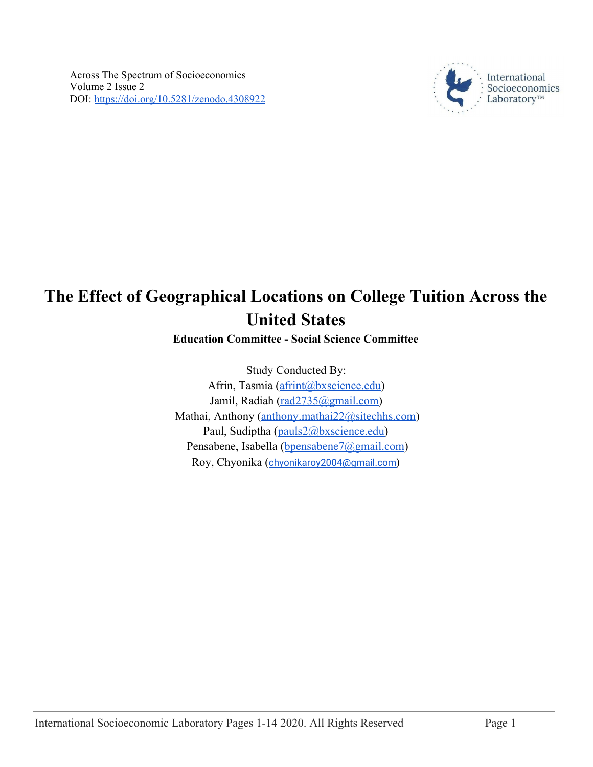

# **The Effect of Geographical Locations on College Tuition Across the United States**

# **Education Committee - Social Science Committee**

Study Conducted By: Afrin, Tasmia ([afrint@bxscience.edu\)](mailto:afrint@bxscience.edu) Jamil, Radiah ([rad2735@gmail.com](mailto:rad2735@gmail.com)) Mathai, Anthony ([anthony.mathai22@sitechhs.com\)](mailto:anthony.mathai22@sitechhs.com) Paul, Sudiptha ([pauls2@bxscience.edu](mailto:pauls2@bxscience.edu)) Pensabene, Isabella ([bpensabene7@gmail.com\)](mailto:bpensabene7@gmail.com) Roy, Chyonika ([chyonikaroy2004@gmail.com\)](mailto:chyonikaroy2004@gmail.com)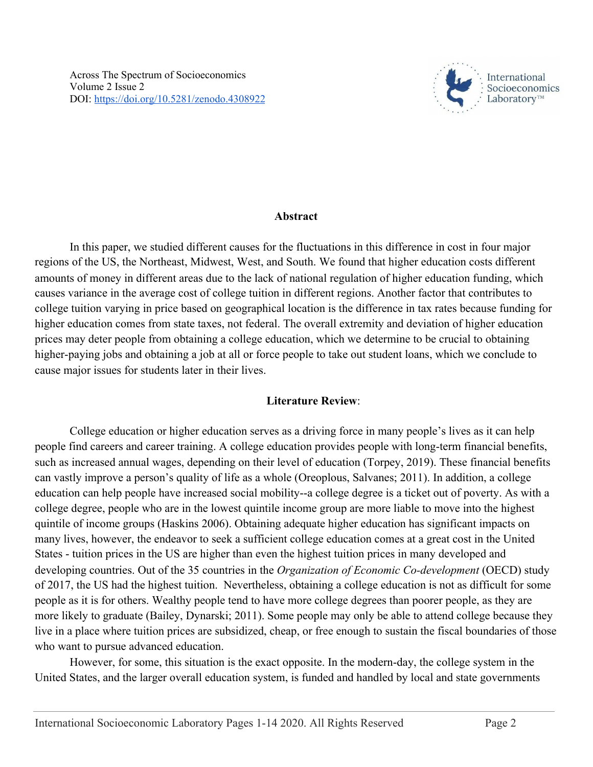

#### **Abstract**

In this paper, we studied different causes for the fluctuations in this difference in cost in four major regions of the US, the Northeast, Midwest, West, and South. We found that higher education costs different amounts of money in different areas due to the lack of national regulation of higher education funding, which causes variance in the average cost of college tuition in different regions. Another factor that contributes to college tuition varying in price based on geographical location is the difference in tax rates because funding for higher education comes from state taxes, not federal. The overall extremity and deviation of higher education prices may deter people from obtaining a college education, which we determine to be crucial to obtaining higher-paying jobs and obtaining a job at all or force people to take out student loans, which we conclude to cause major issues for students later in their lives.

## **Literature Review**:

College education or higher education serves as a driving force in many people's lives as it can help people find careers and career training. A college education provides people with long-term financial benefits, such as increased annual wages, depending on their level of education (Torpey, 2019). These financial benefits can vastly improve a person's quality of life as a whole (Oreoplous, Salvanes; 2011). In addition, a college education can help people have increased social mobility--a college degree is a ticket out of poverty. As with a college degree, people who are in the lowest quintile income group are more liable to move into the highest quintile of income groups (Haskins 2006). Obtaining adequate higher education has significant impacts on many lives, however, the endeavor to seek a sufficient college education comes at a great cost in the United States - tuition prices in the US are higher than even the highest tuition prices in many developed and developing countries. Out of the 35 countries in the *Organization of Economic Co-development* (OECD) study of 2017, the US had the highest tuition. Nevertheless, obtaining a college education is not as difficult for some people as it is for others. Wealthy people tend to have more college degrees than poorer people, as they are more likely to graduate (Bailey, Dynarski; 2011). Some people may only be able to attend college because they live in a place where tuition prices are subsidized, cheap, or free enough to sustain the fiscal boundaries of those who want to pursue advanced education.

However, for some, this situation is the exact opposite. In the modern-day, the college system in the United States, and the larger overall education system, is funded and handled by local and state governments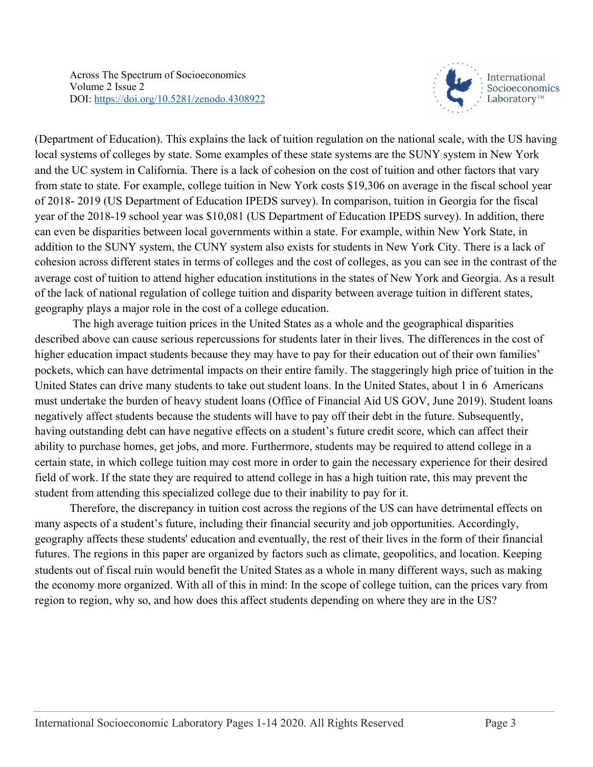

(Department of Education). This explains the lack of tuition regulation on the national scale, with the US having local systems of colleges by state. Some examples of these state systems are the SUNY system in New York and the UC system in California. There is a lack of cohesion on the cost of tuition and other factors that vary from state to state. For example, college tuition in New York costs \$19,306 on average in the fiscal school year of 2018- 2019 (US Department of Education IPEDS survey). In comparison, tuition in Georgia for the fiscal year of the 2018-19 school year was \$10,081 (US Department of Education IPEDS survey). In addition, there can even be disparities between local governments within a state. For example, within New York State, in addition to the SUNY system, the CUNY system also exists for students in New York City. There is a lack of cohesion across different states in terms of colleges and the cost of colleges, as you can see in the contrast of the average cost of tuition to attend higher education institutions in the states of New York and Georgia. As a result of the lack of national regulation of college tuition and disparity between average tuition in different states, geography plays a major role in the cost of a college education.

 The high average tuition prices in the United States as a whole and the geographical disparities described above can cause serious repercussions for students later in their lives. The differences in the cost of higher education impact students because they may have to pay for their education out of their own families' pockets, which can have detrimental impacts on their entire family. The staggeringly high price of tuition in the United States can drive many students to take out student loans. In the United States, about 1 in 6 Americans must undertake the burden of heavy student loans (Office of Financial Aid US GOV, June 2019). Student loans negatively affect students because the students will have to pay off their debt in the future. Subsequently, having outstanding debt can have negative effects on a student's future credit score, which can affect their ability to purchase homes, get jobs, and more. Furthermore, students may be required to attend college in a certain state, in which college tuition may cost more in order to gain the necessary experience for their desired field of work. If the state they are required to attend college in has a high tuition rate, this may prevent the student from attending this specialized college due to their inability to pay for it.

Therefore, the discrepancy in tuition cost across the regions of the US can have detrimental effects on many aspects of a student's future, including their financial security and job opportunities. Accordingly, geography affects these students' education and eventually, the rest of their lives in the form of their financial futures. The regions in this paper are organized by factors such as climate, geopolitics, and location. Keeping students out of fiscal ruin would benefit the United States as a whole in many different ways, such as making the economy more organized. With all of this in mind: In the scope of college tuition, can the prices vary from region to region, why so, and how does this affect students depending on where they are in the US?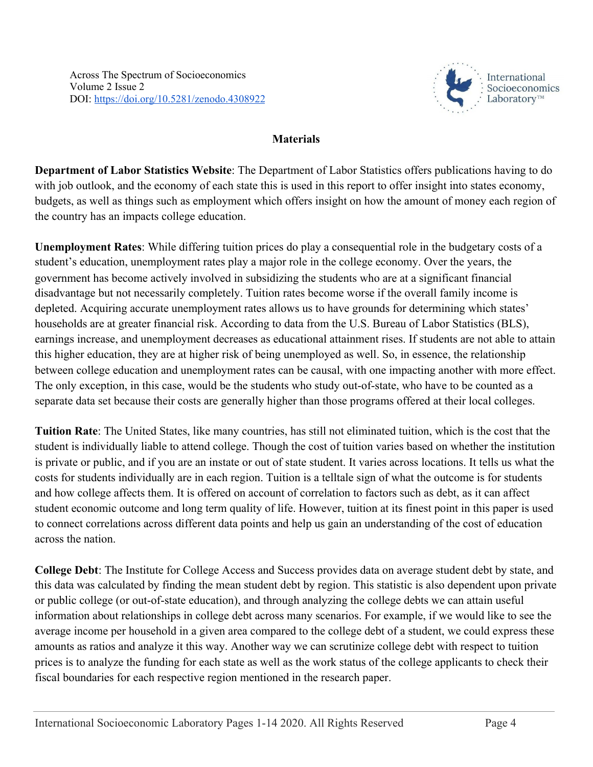

# **Materials**

**Department of Labor Statistics Website**: The Department of Labor Statistics offers publications having to do with job outlook, and the economy of each state this is used in this report to offer insight into states economy, budgets, as well as things such as employment which offers insight on how the amount of money each region of the country has an impacts college education.

**Unemployment Rates**: While differing tuition prices do play a consequential role in the budgetary costs of a student's education, unemployment rates play a major role in the college economy. Over the years, the government has become actively involved in subsidizing the students who are at a significant financial disadvantage but not necessarily completely. Tuition rates become worse if the overall family income is depleted. Acquiring accurate unemployment rates allows us to have grounds for determining which states' households are at greater financial risk. According to data from the U.S. Bureau of Labor Statistics (BLS), earnings increase, and unemployment decreases as educational attainment rises. If students are not able to attain this higher education, they are at higher risk of being unemployed as well. So, in essence, the relationship between college education and unemployment rates can be causal, with one impacting another with more effect. The only exception, in this case, would be the students who study out-of-state, who have to be counted as a separate data set because their costs are generally higher than those programs offered at their local colleges.

**Tuition Rate**: The United States, like many countries, has still not eliminated tuition, which is the cost that the student is individually liable to attend college. Though the cost of tuition varies based on whether the institution is private or public, and if you are an instate or out of state student. It varies across locations. It tells us what the costs for students individually are in each region. Tuition is a telltale sign of what the outcome is for students and how college affects them. It is offered on account of correlation to factors such as debt, as it can affect student economic outcome and long term quality of life. However, tuition at its finest point in this paper is used to connect correlations across different data points and help us gain an understanding of the cost of education across the nation.

**College Debt**: The Institute for College Access and Success provides data on average student debt by state, and this data was calculated by finding the mean student debt by region. This statistic is also dependent upon private or public college (or out-of-state education), and through analyzing the college debts we can attain useful information about relationships in college debt across many scenarios. For example, if we would like to see the average income per household in a given area compared to the college debt of a student, we could express these amounts as ratios and analyze it this way. Another way we can scrutinize college debt with respect to tuition prices is to analyze the funding for each state as well as the work status of the college applicants to check their fiscal boundaries for each respective region mentioned in the research paper.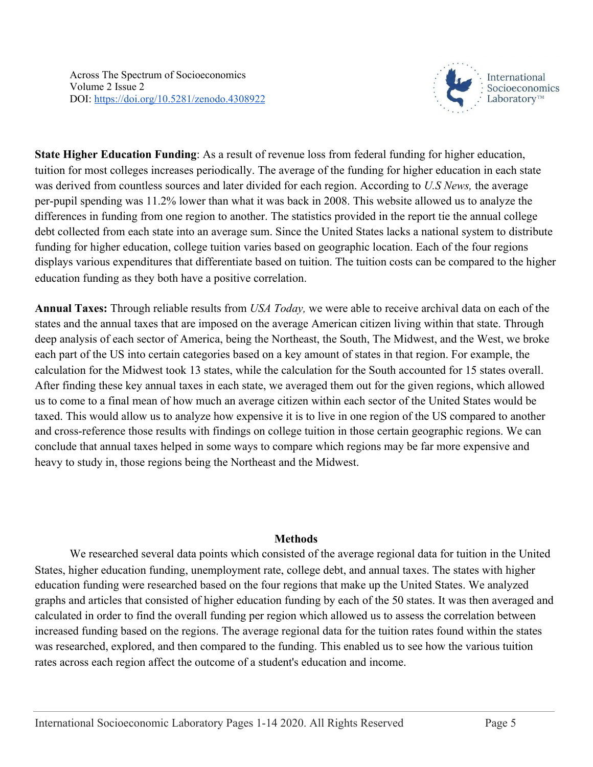

**State Higher Education Funding**: As a result of revenue loss from federal funding for higher education, tuition for most colleges increases periodically. The average of the funding for higher education in each state was derived from countless sources and later divided for each region. According to *U.S News,* the average per-pupil spending was 11.2% lower than what it was back in 2008. This website allowed us to analyze the differences in funding from one region to another. The statistics provided in the report tie the annual college debt collected from each state into an average sum. Since the United States lacks a national system to distribute funding for higher education, college tuition varies based on geographic location. Each of the four regions displays various expenditures that differentiate based on tuition. The tuition costs can be compared to the higher education funding as they both have a positive correlation.

**Annual Taxes:** Through reliable results from *USA Today,* we were able to receive archival data on each of the states and the annual taxes that are imposed on the average American citizen living within that state. Through deep analysis of each sector of America, being the Northeast, the South, The Midwest, and the West, we broke each part of the US into certain categories based on a key amount of states in that region. For example, the calculation for the Midwest took 13 states, while the calculation for the South accounted for 15 states overall. After finding these key annual taxes in each state, we averaged them out for the given regions, which allowed us to come to a final mean of how much an average citizen within each sector of the United States would be taxed. This would allow us to analyze how expensive it is to live in one region of the US compared to another and cross-reference those results with findings on college tuition in those certain geographic regions. We can conclude that annual taxes helped in some ways to compare which regions may be far more expensive and heavy to study in, those regions being the Northeast and the Midwest.

#### **Methods**

We researched several data points which consisted of the average regional data for tuition in the United States, higher education funding, unemployment rate, college debt, and annual taxes. The states with higher education funding were researched based on the four regions that make up the United States. We analyzed graphs and articles that consisted of higher education funding by each of the 50 states. It was then averaged and calculated in order to find the overall funding per region which allowed us to assess the correlation between increased funding based on the regions. The average regional data for the tuition rates found within the states was researched, explored, and then compared to the funding. This enabled us to see how the various tuition rates across each region affect the outcome of a student's education and income.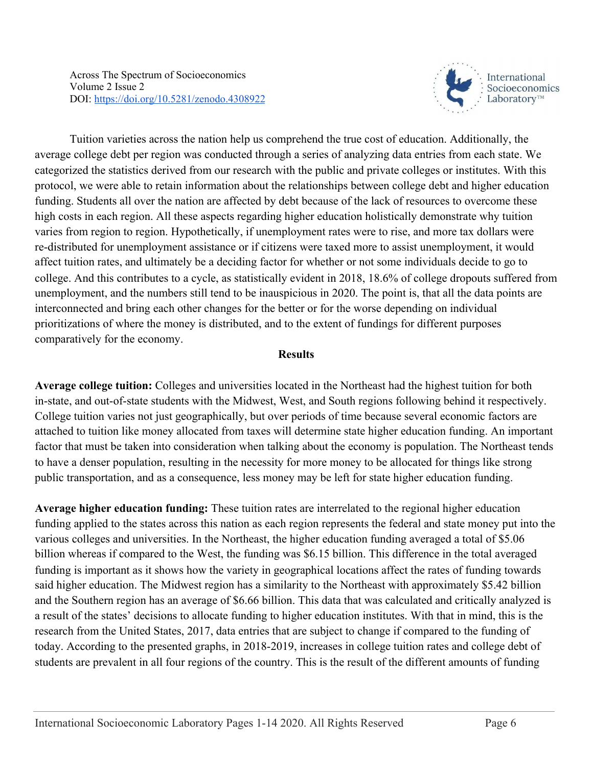

Tuition varieties across the nation help us comprehend the true cost of education. Additionally, the average college debt per region was conducted through a series of analyzing data entries from each state. We categorized the statistics derived from our research with the public and private colleges or institutes. With this protocol, we were able to retain information about the relationships between college debt and higher education funding. Students all over the nation are affected by debt because of the lack of resources to overcome these high costs in each region. All these aspects regarding higher education holistically demonstrate why tuition varies from region to region. Hypothetically, if unemployment rates were to rise, and more tax dollars were re-distributed for unemployment assistance or if citizens were taxed more to assist unemployment, it would affect tuition rates, and ultimately be a deciding factor for whether or not some individuals decide to go to college. And this contributes to a cycle, as statistically evident in 2018, 18.6% of college dropouts suffered from unemployment, and the numbers still tend to be inauspicious in 2020. The point is, that all the data points are interconnected and bring each other changes for the better or for the worse depending on individual prioritizations of where the money is distributed, and to the extent of fundings for different purposes comparatively for the economy.

## **Results**

**Average college tuition:** Colleges and universities located in the Northeast had the highest tuition for both in-state, and out-of-state students with the Midwest, West, and South regions following behind it respectively. College tuition varies not just geographically, but over periods of time because several economic factors are attached to tuition like money allocated from taxes will determine state higher education funding. An important factor that must be taken into consideration when talking about the economy is population. The Northeast tends to have a denser population, resulting in the necessity for more money to be allocated for things like strong public transportation, and as a consequence, less money may be left for state higher education funding.

**Average higher education funding:** These tuition rates are interrelated to the regional higher education funding applied to the states across this nation as each region represents the federal and state money put into the various colleges and universities. In the Northeast, the higher education funding averaged a total of \$5.06 billion whereas if compared to the West, the funding was \$6.15 billion. This difference in the total averaged funding is important as it shows how the variety in geographical locations affect the rates of funding towards said higher education. The Midwest region has a similarity to the Northeast with approximately \$5.42 billion and the Southern region has an average of \$6.66 billion. This data that was calculated and critically analyzed is a result of the states' decisions to allocate funding to higher education institutes. With that in mind, this is the research from the United States, 2017, data entries that are subject to change if compared to the funding of today. According to the presented graphs, in 2018-2019, increases in college tuition rates and college debt of students are prevalent in all four regions of the country. This is the result of the different amounts of funding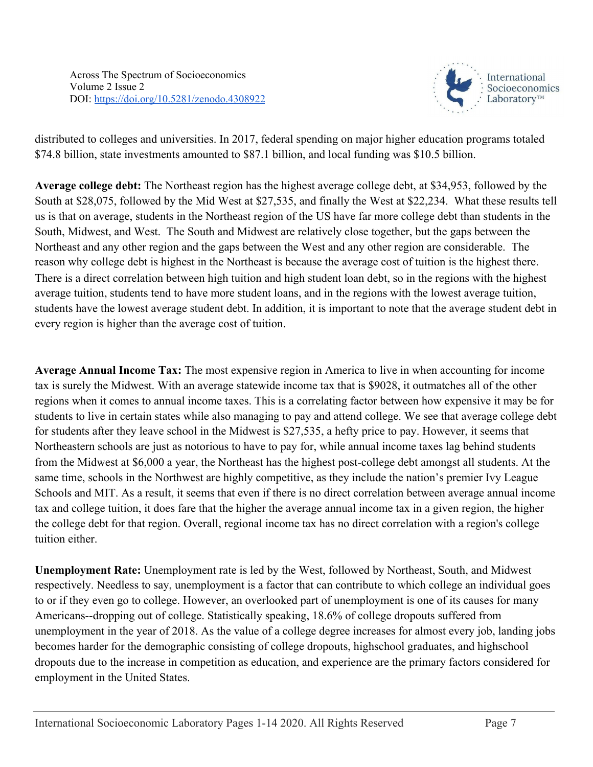

distributed to colleges and universities. In 2017, federal spending on major higher education programs totaled \$74.8 billion, state investments amounted to \$87.1 billion, and local funding was \$10.5 billion.

**Average college debt:** The Northeast region has the highest average college debt, at \$34,953, followed by the South at \$28,075, followed by the Mid West at \$27,535, and finally the West at \$22,234. What these results tell us is that on average, students in the Northeast region of the US have far more college debt than students in the South, Midwest, and West. The South and Midwest are relatively close together, but the gaps between the Northeast and any other region and the gaps between the West and any other region are considerable. The reason why college debt is highest in the Northeast is because the average cost of tuition is the highest there. There is a direct correlation between high tuition and high student loan debt, so in the regions with the highest average tuition, students tend to have more student loans, and in the regions with the lowest average tuition, students have the lowest average student debt. In addition, it is important to note that the average student debt in every region is higher than the average cost of tuition.

**Average Annual Income Tax:** The most expensive region in America to live in when accounting for income tax is surely the Midwest. With an average statewide income tax that is \$9028, it outmatches all of the other regions when it comes to annual income taxes. This is a correlating factor between how expensive it may be for students to live in certain states while also managing to pay and attend college. We see that average college debt for students after they leave school in the Midwest is \$27,535, a hefty price to pay. However, it seems that Northeastern schools are just as notorious to have to pay for, while annual income taxes lag behind students from the Midwest at \$6,000 a year, the Northeast has the highest post-college debt amongst all students. At the same time, schools in the Northwest are highly competitive, as they include the nation's premier Ivy League Schools and MIT. As a result, it seems that even if there is no direct correlation between average annual income tax and college tuition, it does fare that the higher the average annual income tax in a given region, the higher the college debt for that region. Overall, regional income tax has no direct correlation with a region's college tuition either.

**Unemployment Rate:** Unemployment rate is led by the West, followed by Northeast, South, and Midwest respectively. Needless to say, unemployment is a factor that can contribute to which college an individual goes to or if they even go to college. However, an overlooked part of unemployment is one of its causes for many Americans--dropping out of college. Statistically speaking, 18.6% of college dropouts suffered from unemployment in the year of 2018. As the value of a college degree increases for almost every job, landing jobs becomes harder for the demographic consisting of college dropouts, highschool graduates, and highschool dropouts due to the increase in competition as education, and experience are the primary factors considered for employment in the United States.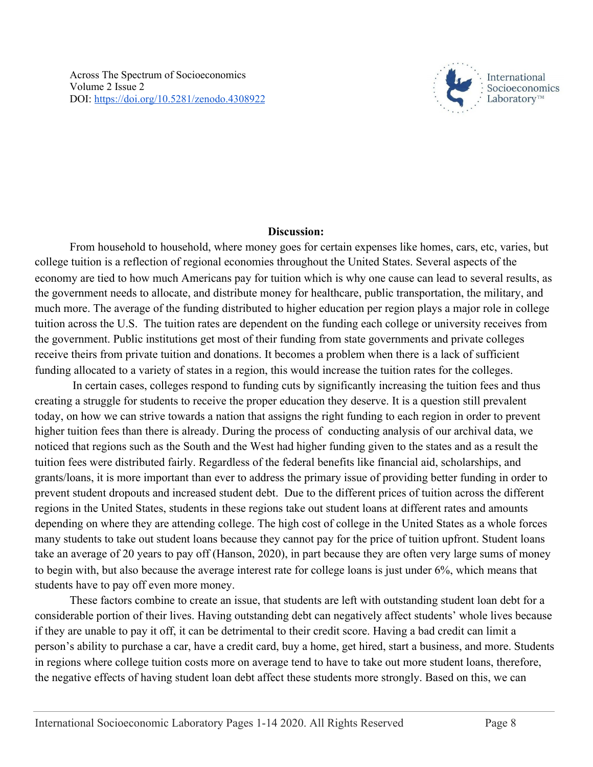

## **Discussion:**

From household to household, where money goes for certain expenses like homes, cars, etc, varies, but college tuition is a reflection of regional economies throughout the United States. Several aspects of the economy are tied to how much Americans pay for tuition which is why one cause can lead to several results, as the government needs to allocate, and distribute money for healthcare, public transportation, the military, and much more. The average of the funding distributed to higher education per region plays a major role in college tuition across the U.S. The tuition rates are dependent on the funding each college or university receives from the government. Public institutions get most of their funding from state governments and private colleges receive theirs from private tuition and donations. It becomes a problem when there is a lack of sufficient funding allocated to a variety of states in a region, this would increase the tuition rates for the colleges.

 In certain cases, colleges respond to funding cuts by significantly increasing the tuition fees and thus creating a struggle for students to receive the proper education they deserve. It is a question still prevalent today, on how we can strive towards a nation that assigns the right funding to each region in order to prevent higher tuition fees than there is already. During the process of conducting analysis of our archival data, we noticed that regions such as the South and the West had higher funding given to the states and as a result the tuition fees were distributed fairly. Regardless of the federal benefits like financial aid, scholarships, and grants/loans, it is more important than ever to address the primary issue of providing better funding in order to prevent student dropouts and increased student debt. Due to the different prices of tuition across the different regions in the United States, students in these regions take out student loans at different rates and amounts depending on where they are attending college. The high cost of college in the United States as a whole forces many students to take out student loans because they cannot pay for the price of tuition upfront. Student loans take an average of 20 years to pay off (Hanson, 2020), in part because they are often very large sums of money to begin with, but also because the average interest rate for college loans is just under 6%, which means that students have to pay off even more money.

These factors combine to create an issue, that students are left with outstanding student loan debt for a considerable portion of their lives. Having outstanding debt can negatively affect students' whole lives because if they are unable to pay it off, it can be detrimental to their credit score. Having a bad credit can limit a person's ability to purchase a car, have a credit card, buy a home, get hired, start a business, and more. Students in regions where college tuition costs more on average tend to have to take out more student loans, therefore, the negative effects of having student loan debt affect these students more strongly. Based on this, we can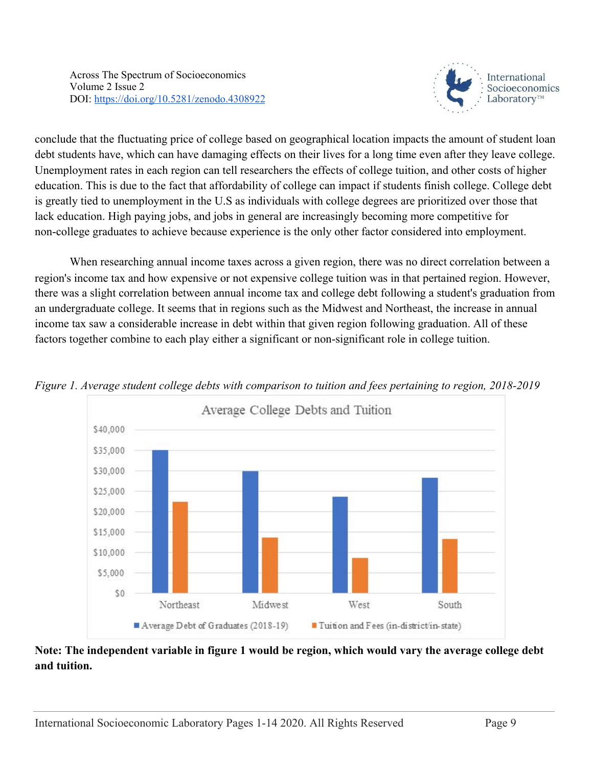

conclude that the fluctuating price of college based on geographical location impacts the amount of student loan debt students have, which can have damaging effects on their lives for a long time even after they leave college. Unemployment rates in each region can tell researchers the effects of college tuition, and other costs of higher education. This is due to the fact that affordability of college can impact if students finish college. College debt is greatly tied to unemployment in the U.S as individuals with college degrees are prioritized over those that lack education. High paying jobs, and jobs in general are increasingly becoming more competitive for non-college graduates to achieve because experience is the only other factor considered into employment.

When researching annual income taxes across a given region, there was no direct correlation between a region's income tax and how expensive or not expensive college tuition was in that pertained region. However, there was a slight correlation between annual income tax and college debt following a student's graduation from an undergraduate college. It seems that in regions such as the Midwest and Northeast, the increase in annual income tax saw a considerable increase in debt within that given region following graduation. All of these factors together combine to each play either a significant or non-significant role in college tuition.



*Figure 1. Average student college debts with comparison to tuition and fees pertaining to region, 2018-2019*

## **Note: The independent variable in figure 1 would be region, which would vary the average college debt and tuition.**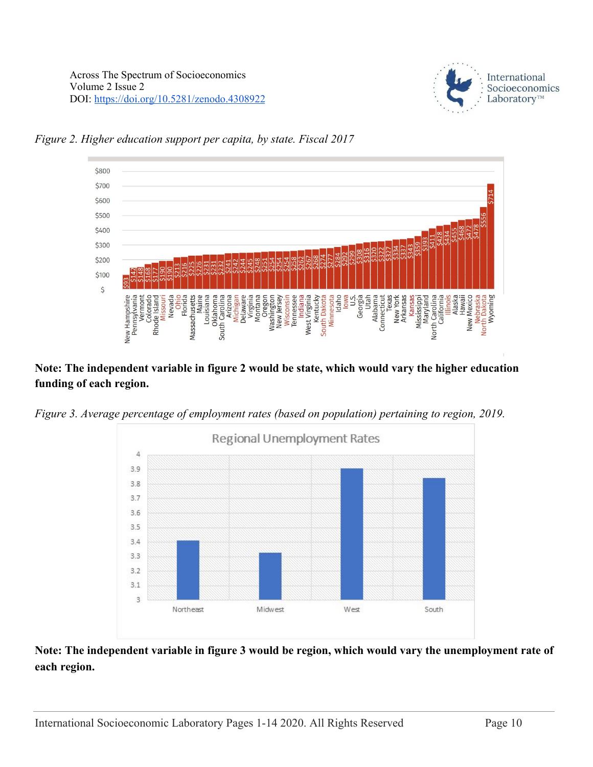



*Figure 2. Higher education support per capita, by state. Fiscal 2017*

## **Note: The independent variable in figure 2 would be state, which would vary the higher education funding of each region.**





## **Note: The independent variable in figure 3 would be region, which would vary the unemployment rate of each region.**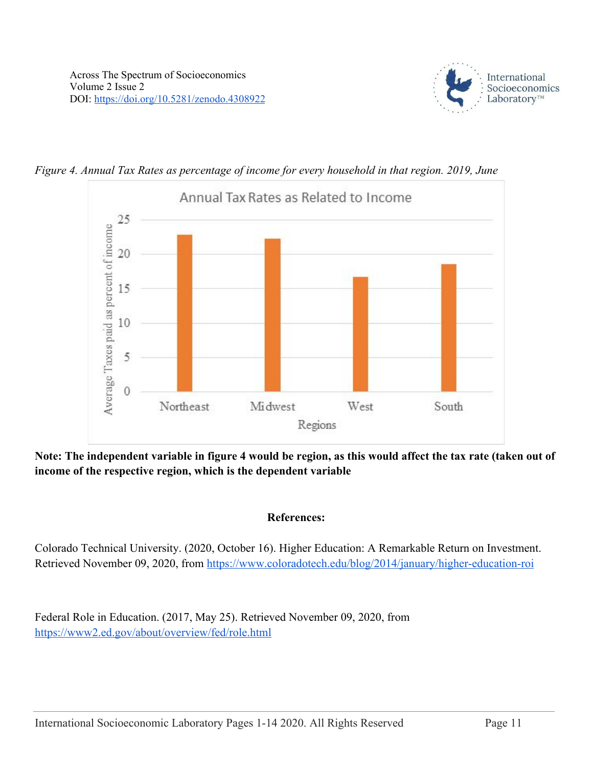





**Note: The independent variable in figure 4 would be region, as this would affect the tax rate (taken out of income of the respective region, which is the dependent variable**

#### **References:**

Colorado Technical University. (2020, October 16). Higher Education: A Remarkable Return on Investment. Retrieved November 09, 2020, from <https://www.coloradotech.edu/blog/2014/january/higher-education-roi>

Federal Role in Education. (2017, May 25). Retrieved November 09, 2020, from <https://www2.ed.gov/about/overview/fed/role.html>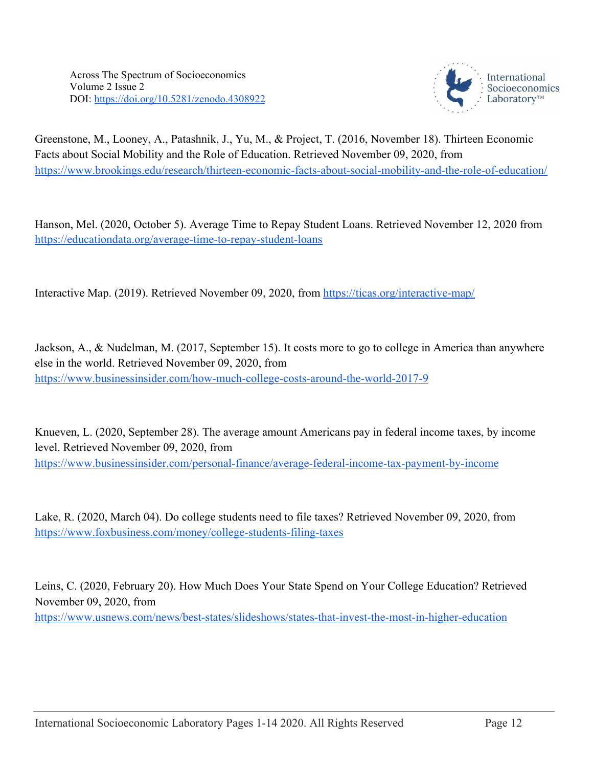

Greenstone, M., Looney, A., Patashnik, J., Yu, M., & Project, T. (2016, November 18). Thirteen Economic Facts about Social Mobility and the Role of Education. Retrieved November 09, 2020, from <https://www.brookings.edu/research/thirteen-economic-facts-about-social-mobility-and-the-role-of-education/>

Hanson, Mel. (2020, October 5). Average Time to Repay Student Loans. Retrieved November 12, 2020 from <https://educationdata.org/average-time-to-repay-student-loans>

Interactive Map. (2019). Retrieved November 09, 2020, from <https://ticas.org/interactive-map/>

Jackson, A., & Nudelman, M. (2017, September 15). It costs more to go to college in America than anywhere else in the world. Retrieved November 09, 2020, from <https://www.businessinsider.com/how-much-college-costs-around-the-world-2017-9>

Knueven, L. (2020, September 28). The average amount Americans pay in federal income taxes, by income level. Retrieved November 09, 2020, from <https://www.businessinsider.com/personal-finance/average-federal-income-tax-payment-by-income>

Lake, R. (2020, March 04). Do college students need to file taxes? Retrieved November 09, 2020, from <https://www.foxbusiness.com/money/college-students-filing-taxes>

Leins, C. (2020, February 20). How Much Does Your State Spend on Your College Education? Retrieved November 09, 2020, from <https://www.usnews.com/news/best-states/slideshows/states-that-invest-the-most-in-higher-education>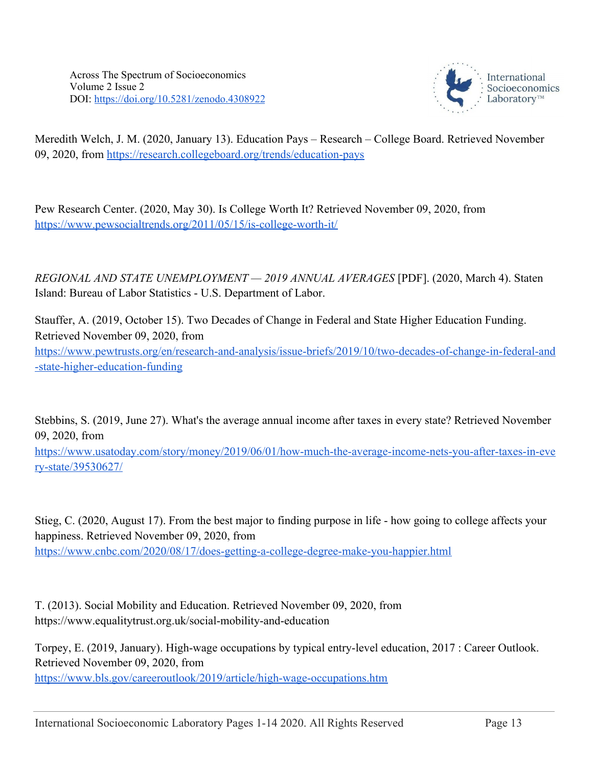

Meredith Welch, J. M. (2020, January 13). Education Pays – Research – College Board. Retrieved November 09, 2020, from<https://research.collegeboard.org/trends/education-pays>

Pew Research Center. (2020, May 30). Is College Worth It? Retrieved November 09, 2020, from <https://www.pewsocialtrends.org/2011/05/15/is-college-worth-it/>

*REGIONAL AND STATE UNEMPLOYMENT — 2019 ANNUAL AVERAGES* [PDF]. (2020, March 4). Staten Island: Bureau of Labor Statistics - U.S. Department of Labor.

Stauffer, A. (2019, October 15). Two Decades of Change in Federal and State Higher Education Funding. Retrieved November 09, 2020, from [https://www.pewtrusts.org/en/research-and-analysis/issue-briefs/2019/10/two-decades-of-change-in-federal-and](https://www.pewtrusts.org/en/research-and-analysis/issue-briefs/2019/10/two-decades-of-change-in-federal-and-state-higher-education-funding) [-state-higher-education-funding](https://www.pewtrusts.org/en/research-and-analysis/issue-briefs/2019/10/two-decades-of-change-in-federal-and-state-higher-education-funding)

Stebbins, S. (2019, June 27). What's the average annual income after taxes in every state? Retrieved November 09, 2020, from

[https://www.usatoday.com/story/money/2019/06/01/how-much-the-average-income-nets-you-after-taxes-in-eve](https://www.usatoday.com/story/money/2019/06/01/how-much-the-average-income-nets-you-after-taxes-in-every-state/39530627/) [ry-state/39530627/](https://www.usatoday.com/story/money/2019/06/01/how-much-the-average-income-nets-you-after-taxes-in-every-state/39530627/)

Stieg, C. (2020, August 17). From the best major to finding purpose in life - how going to college affects your happiness. Retrieved November 09, 2020, from <https://www.cnbc.com/2020/08/17/does-getting-a-college-degree-make-you-happier.html>

T. (2013). Social Mobility and Education. Retrieved November 09, 2020, from https://www.equalitytrust.org.uk/social-mobility-and-education

Torpey, E. (2019, January). High-wage occupations by typical entry-level education, 2017 : Career Outlook. Retrieved November 09, 2020, from

<https://www.bls.gov/careeroutlook/2019/article/high-wage-occupations.htm>